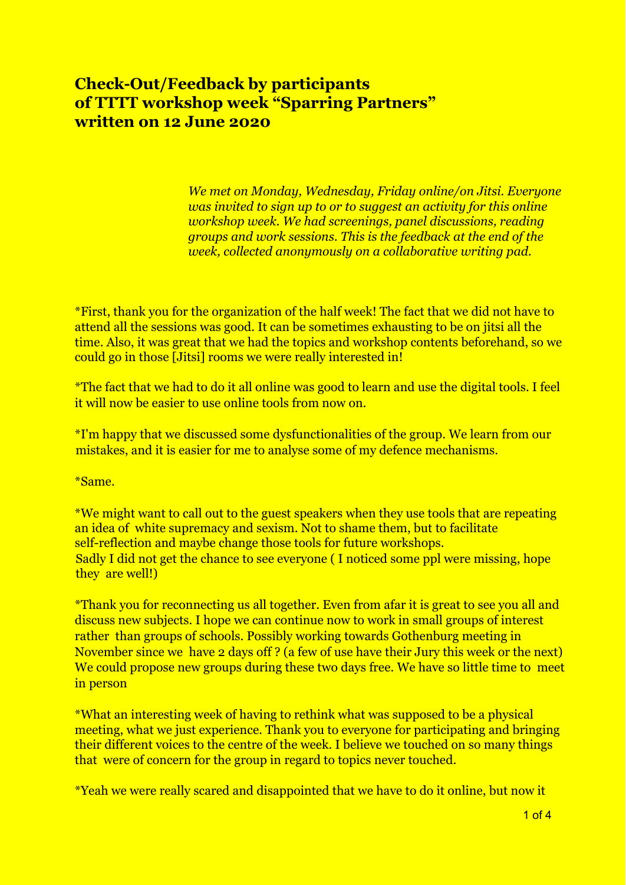## **Check-Out/Feedback by participants of TTTT workshop week "Sparring Partners" written on 12 June 2020**

*We met on Monday, Wednesday, Friday online/on Jitsi. Everyone was invited to sign up to or to suggest an activity for this online workshop week. We had screenings, panel discussions, reading groups and work sessions. This is the feedback at the end of the week, collected anonymously on a collaborative writing pad.*

\*First, thank you for the organization of the half week! The fact that we did not have to attend all the sessions was good. It can be sometimes exhausting to be on jitsi all the time. Also, it was great that we had the topics and workshop contents beforehand, so we could go in those [Jitsi] rooms we were really interested in!

\*The fact that we had to do it all online was good to learn and use the digital tools. I feel it will now be easier to use online tools from now on.

\*I'm happy that we discussed some dysfunctionalities of the group. We learn from our mistakes, and it is easier for me to analyse some of my defence mechanisms.

\*Same.

\*We might want to call out to the guest speakers when they use tools that are repeating an idea of white supremacy and sexism. Not to shame them, but to facilitate self-reflection and maybe change those tools for future workshops. Sadly I did not get the chance to see everyone ( I noticed some ppl were missing, hope they are well!)

\*Thank you for reconnecting us all together. Even from afar it is great to see you all and discuss new subjects. I hope we can continue now to work in small groups of interest rather than groups of schools. Possibly working towards Gothenburg meeting in November since we have 2 days off ? (a few of use have their Jury this week or the next) We could propose new groups during these two days free. We have so little time to meet in person

\*What an interesting week of having to rethink what was supposed to be a physical meeting, what we just experience. Thank you to everyone for participating and bringing their different voices to the centre of the week. I believe we touched on so many things that were of concern for the group in regard to topics never touched.

\*Yeah we were really scared and disappointed that we have to do it online, but now it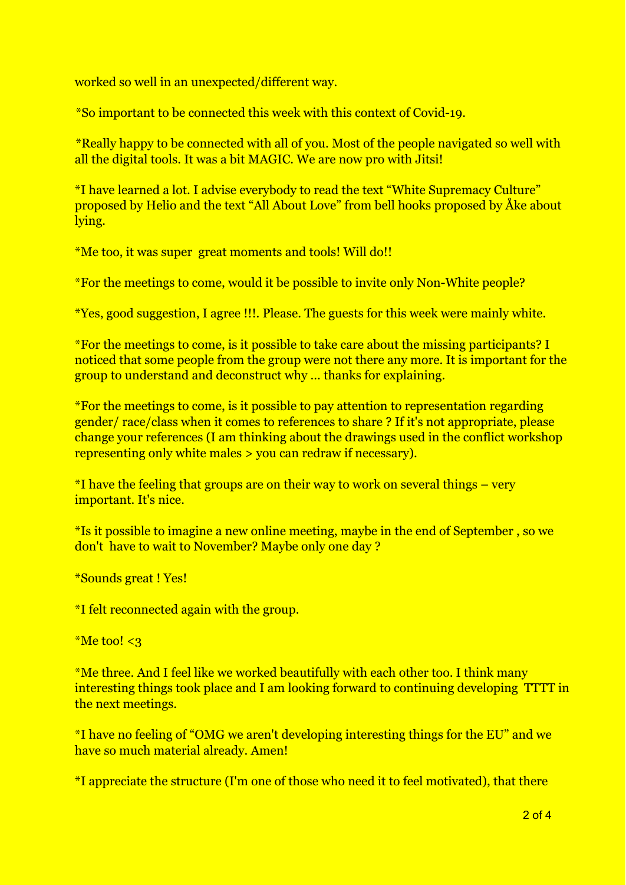worked so well in an unexpected/different way.

\*So important to be connected this week with this context of Covid-19.

\*Really happy to be connected with all of you. Most of the people navigated so well with all the digital tools. It was a bit MAGIC. We are now pro with Jitsi!

\*I have learned a lot. I advise everybody to read the text "White Supremacy Culture" proposed by Helio and the text "All About Love" from bell hooks proposed by Åke about lying.

\*Me too, it was super great moments and tools! Will do!!

\*For the meetings to come, would it be possible to invite only Non-White people?

\*Yes, good suggestion, I agree !!!. Please. The guests for this week were mainly white.

\*For the meetings to come, is it possible to take care about the missing participants? I noticed that some people from the group were not there any more. It is important for the group to understand and deconstruct why … thanks for explaining.

\*For the meetings to come, is it possible to pay attention to representation regarding gender/ race/class when it comes to references to share ? If it's not appropriate, please change your references (I am thinking about the drawings used in the conflict workshop representing only white males > you can redraw if necessary).

 $*I$  have the feeling that groups are on their way to work on several things – very important. It's nice.

\*Is it possible to imagine a new online meeting, maybe in the end of September , so we don't have to wait to November? Maybe only one day ?

\*Sounds great ! Yes!

\*I felt reconnected again with the group.

 $*$ Me too!  $<$ 3

\*Me three. And I feel like we worked beautifully with each other too. I think many interesting things took place and I am looking forward to continuing developing TTTT in the next meetings.

\*I have no feeling of "OMG we aren't developing interesting things for the EU" and we have so much material already. Amen!

\*I appreciate the structure (I'm one of those who need it to feel motivated), that there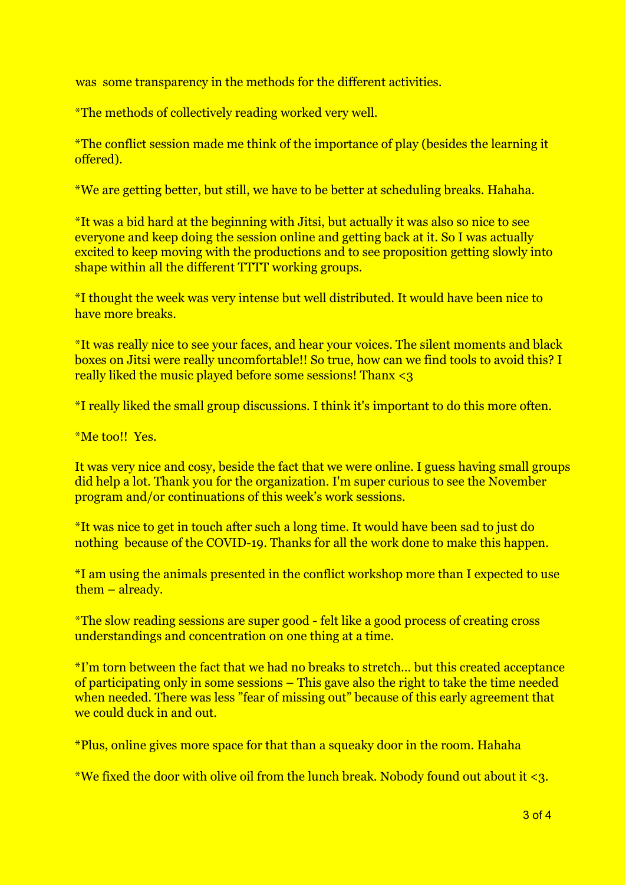was some transparency in the methods for the different activities.

\*The methods of collectively reading worked very well.

\*The conflict session made me think of the importance of play (besides the learning it offered).

\*We are getting better, but still, we have to be better at scheduling breaks. Hahaha.

\*It was a bid hard at the beginning with Jitsi, but actually it was also so nice to see everyone and keep doing the session online and getting back at it. So I was actually excited to keep moving with the productions and to see proposition getting slowly into shape within all the different TTTT working groups.

\*I thought the week was very intense but well distributed. It would have been nice to have more breaks.

\*It was really nice to see your faces, and hear your voices. The silent moments and black boxes on Jitsi were really uncomfortable!! So true, how can we find tools to avoid this? I really liked the music played before some sessions! Thanx <3

\*I really liked the small group discussions. I think it's important to do this more often.

\*Me too!! Yes.

It was very nice and cosy, beside the fact that we were online. I guess having small groups did help a lot. Thank you for the organization. I'm super curious to see the November program and/or continuations of this week's work sessions.

\*It was nice to get in touch after such a long time. It would have been sad to just do nothing because of the COVID-19. Thanks for all the work done to make this happen.

\*I am using the animals presented in the conflict workshop more than I expected to use them – already.

\*The slow reading sessions are super good - felt like a good process of creating cross understandings and concentration on one thing at a time.

\*I'm torn between the fact that we had no breaks to stretch… but this created acceptance of participating only in some sessions – This gave also the right to take the time needed when needed. There was less "fear of missing out" because of this early agreement that we could duck in and out.

\*Plus, online gives more space for that than a squeaky door in the room. Hahaha

\*We fixed the door with olive oil from the lunch break. Nobody found out about it <3.